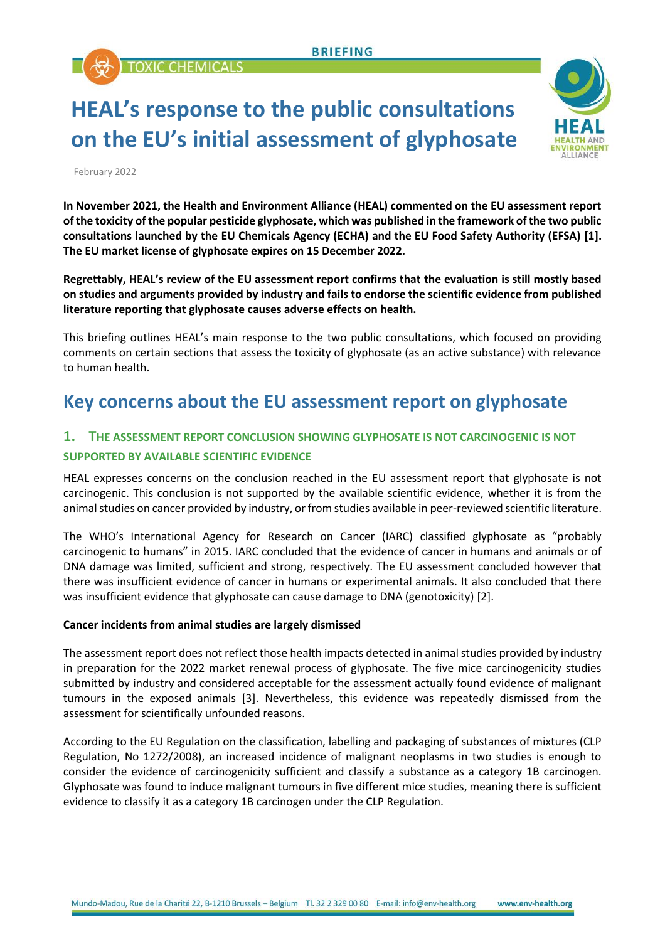TOXIC CHEMICALS

# **HEAL's response to the public consultations on the EU's initial assessment of glyphosate**



February 2022

**In November 2021, the Health and Environment Alliance (HEAL) commented on the EU assessment report of the toxicity of the popular pesticide glyphosate, which was published in the framework of the two public consultations launched by the EU Chemicals Agency (ECHA) and the EU Food Safety Authority (EFSA) [1]. The EU market license of glyphosate expires on 15 December 2022.**

**Regrettably, HEAL's review of the EU assessment report confirms that the evaluation is still mostly based on studies and arguments provided by industry and fails to endorse the scientific evidence from published literature reporting that glyphosate causes adverse effects on health.** 

This briefing outlines HEAL's main response to the two public consultations, which focused on providing comments on certain sections that assess the toxicity of glyphosate (as an active substance) with relevance to human health.

# **Key concerns about the EU assessment report on glyphosate**

### **1. THE ASSESSMENT REPORT CONCLUSION SHOWING GLYPHOSATE IS NOT CARCINOGENIC IS NOT SUPPORTED BY AVAILABLE SCIENTIFIC EVIDENCE**

HEAL expresses concerns on the conclusion reached in the EU assessment report that glyphosate is not carcinogenic. This conclusion is not supported by the available scientific evidence, whether it is from the animal studies on cancer provided by industry, or from studies available in peer-reviewed scientific literature.

The WHO's International Agency for Research on Cancer (IARC) classified glyphosate as "probably carcinogenic to humans" in 2015. IARC concluded that the evidence of cancer in humans and animals or of DNA damage was limited, sufficient and strong, respectively. The EU assessment concluded however that there was insufficient evidence of cancer in humans or experimental animals. It also concluded that there was insufficient evidence that glyphosate can cause damage to DNA (genotoxicity) [2].

#### **Cancer incidents from animal studies are largely dismissed**

The assessment report does not reflect those health impacts detected in animal studies provided by industry in preparation for the 2022 market renewal process of glyphosate. The five mice carcinogenicity studies submitted by industry and considered acceptable for the assessment actually found evidence of malignant tumours in the exposed animals [3]. Nevertheless, this evidence was repeatedly dismissed from the assessment for scientifically unfounded reasons.

According to the EU Regulation on the classification, labelling and packaging of substances of mixtures (CLP Regulation, No 1272/2008), an increased incidence of malignant neoplasms in two studies is enough to consider the evidence of carcinogenicity sufficient and classify a substance as a category 1B carcinogen. Glyphosate was found to induce malignant tumours in five different mice studies, meaning there is sufficient evidence to classify it as a category 1B carcinogen under the CLP Regulation.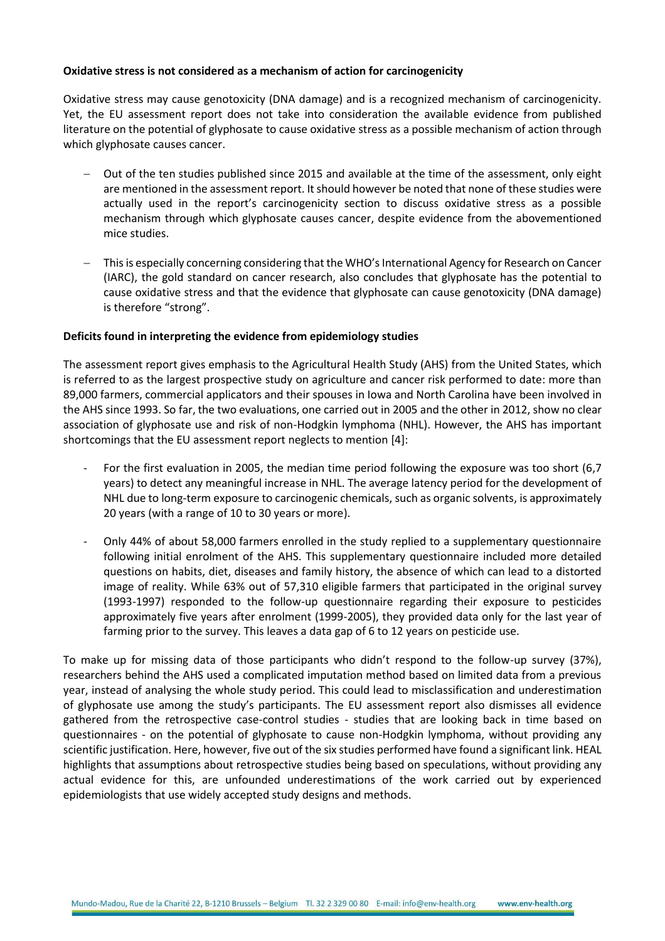#### **Oxidative stress is not considered as a mechanism of action for carcinogenicity**

Oxidative stress may cause genotoxicity (DNA damage) and is a recognized mechanism of carcinogenicity. Yet, the EU assessment report does not take into consideration the available evidence from published literature on the potential of glyphosate to cause oxidative stress as a possible mechanism of action through which glyphosate causes cancer.

- Out of the ten studies published since 2015 and available at the time of the assessment, only eight are mentioned in the assessment report. It should however be noted that none of these studies were actually used in the report's carcinogenicity section to discuss oxidative stress as a possible mechanism through which glyphosate causes cancer, despite evidence from the abovementioned mice studies.
- − This is especially concerning considering that the WHO's International Agency for Research on Cancer (IARC), the gold standard on cancer research, also concludes that glyphosate has the potential to cause oxidative stress and that the evidence that glyphosate can cause genotoxicity (DNA damage) is therefore "strong".

#### **Deficits found in interpreting the evidence from epidemiology studies**

The assessment report gives emphasis to the Agricultural Health Study (AHS) from the United States, which is referred to as the largest prospective study on agriculture and cancer risk performed to date: more than 89,000 farmers, commercial applicators and their spouses in Iowa and North Carolina have been involved in the AHS since 1993. So far, the two evaluations, one carried out in 2005 and the other in 2012, show no clear association of glyphosate use and risk of non-Hodgkin lymphoma (NHL). However, the AHS has important shortcomings that the EU assessment report neglects to mention [4]:

- For the first evaluation in 2005, the median time period following the exposure was too short (6,7) years) to detect any meaningful increase in NHL. The average latency period for the development of NHL due to long-term exposure to carcinogenic chemicals, such as organic solvents, is approximately 20 years (with a range of 10 to 30 years or more).
- Only 44% of about 58,000 farmers enrolled in the study replied to a supplementary questionnaire following initial enrolment of the AHS. This supplementary questionnaire included more detailed questions on habits, diet, diseases and family history, the absence of which can lead to a distorted image of reality. While 63% out of 57,310 eligible farmers that participated in the original survey (1993-1997) responded to the follow-up questionnaire regarding their exposure to pesticides approximately five years after enrolment (1999-2005), they provided data only for the last year of farming prior to the survey. This leaves a data gap of 6 to 12 years on pesticide use.

To make up for missing data of those participants who didn't respond to the follow-up survey (37%), researchers behind the AHS used a complicated imputation method based on limited data from a previous year, instead of analysing the whole study period. This could lead to misclassification and underestimation of glyphosate use among the study's participants. The EU assessment report also dismisses all evidence gathered from the retrospective case-control studies - studies that are looking back in time based on questionnaires - on the potential of glyphosate to cause non-Hodgkin lymphoma, without providing any scientific justification. Here, however, five out of the six studies performed have found a significant link. HEAL highlights that assumptions about retrospective studies being based on speculations, without providing any actual evidence for this, are unfounded underestimations of the work carried out by experienced epidemiologists that use widely accepted study designs and methods.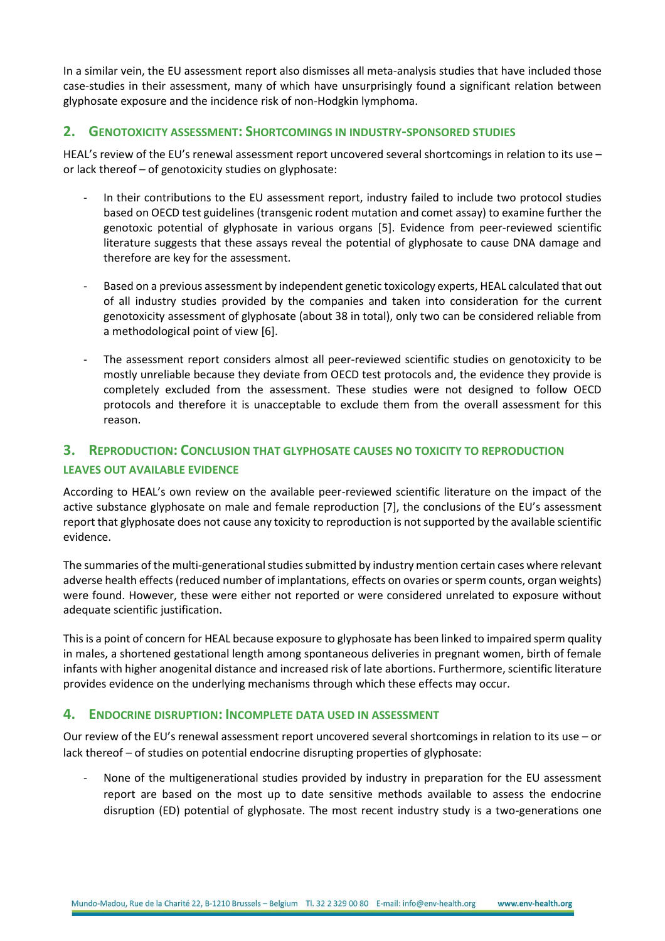In a similar vein, the EU assessment report also dismisses all meta-analysis studies that have included those case-studies in their assessment, many of which have unsurprisingly found a significant relation between glyphosate exposure and the incidence risk of non-Hodgkin lymphoma.

#### **2. GENOTOXICITY ASSESSMENT: SHORTCOMINGS IN INDUSTRY-SPONSORED STUDIES**

HEAL's review of the EU's renewal assessment report uncovered several shortcomings in relation to its use or lack thereof – of genotoxicity studies on glyphosate:

- In their contributions to the EU assessment report, industry failed to include two protocol studies based on OECD test guidelines (transgenic rodent mutation and comet assay) to examine further the genotoxic potential of glyphosate in various organs [5]. Evidence from peer-reviewed scientific literature suggests that these assays reveal the potential of glyphosate to cause DNA damage and therefore are key for the assessment.
- Based on a previous assessment by independent genetic toxicology experts, HEAL calculated that out of all industry studies provided by the companies and taken into consideration for the current genotoxicity assessment of glyphosate (about 38 in total), only two can be considered reliable from a methodological point of view [6].
- The assessment report considers almost all peer-reviewed scientific studies on genotoxicity to be mostly unreliable because they deviate from OECD test protocols and, the evidence they provide is completely excluded from the assessment. These studies were not designed to follow OECD protocols and therefore it is unacceptable to exclude them from the overall assessment for this reason.

#### **3. REPRODUCTION: CONCLUSION THAT GLYPHOSATE CAUSES NO TOXICITY TO REPRODUCTION**

#### **LEAVES OUT AVAILABLE EVIDENCE**

According to HEAL's own review on the available peer-reviewed scientific literature on the impact of the active substance glyphosate on male and female reproduction [7], the conclusions of the EU's assessment report that glyphosate does not cause any toxicity to reproduction is not supported by the available scientific evidence.

The summaries of the multi-generational studies submitted by industry mention certain cases where relevant adverse health effects (reduced number of implantations, effects on ovaries or sperm counts, organ weights) were found. However, these were either not reported or were considered unrelated to exposure without adequate scientific justification.

This is a point of concern for HEAL because exposure to glyphosate has been linked to impaired sperm quality in males, a shortened gestational length among spontaneous deliveries in pregnant women, birth of female infants with higher anogenital distance and increased risk of late abortions. Furthermore, scientific literature provides evidence on the underlying mechanisms through which these effects may occur.

#### **4. ENDOCRINE DISRUPTION: INCOMPLETE DATA USED IN ASSESSMENT**

Our review of the EU's renewal assessment report uncovered several shortcomings in relation to its use – or lack thereof – of studies on potential endocrine disrupting properties of glyphosate:

None of the multigenerational studies provided by industry in preparation for the EU assessment report are based on the most up to date sensitive methods available to assess the endocrine disruption (ED) potential of glyphosate. The most recent industry study is a two-generations one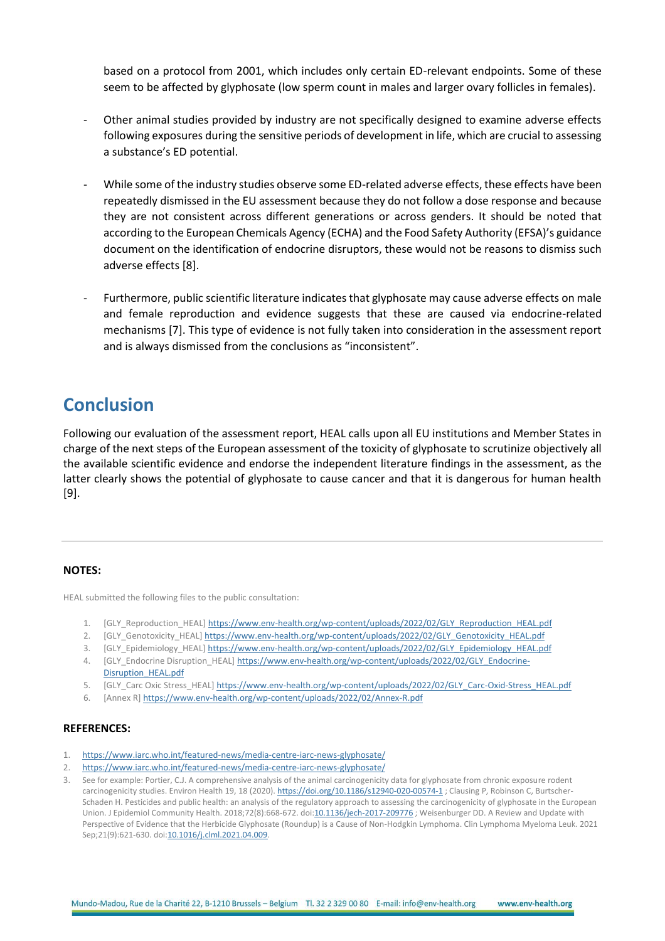based on a protocol from 2001, which includes only certain ED-relevant endpoints. Some of these seem to be affected by glyphosate (low sperm count in males and larger ovary follicles in females).

- Other animal studies provided by industry are not specifically designed to examine adverse effects following exposures during the sensitive periods of development in life, which are crucial to assessing a substance's ED potential.
- While some of the industry studies observe some ED-related adverse effects, these effects have been repeatedly dismissed in the EU assessment because they do not follow a dose response and because they are not consistent across different generations or across genders. It should be noted that according to the European Chemicals Agency (ECHA) and the Food Safety Authority (EFSA)'s guidance document on the identification of endocrine disruptors, these would not be reasons to dismiss such adverse effects [8].
- Furthermore, public scientific literature indicates that glyphosate may cause adverse effects on male and female reproduction and evidence suggests that these are caused via endocrine-related mechanisms [7]. This type of evidence is not fully taken into consideration in the assessment report and is always dismissed from the conclusions as "inconsistent".

## **Conclusion**

Following our evaluation of the assessment report, HEAL calls upon all EU institutions and Member States in charge of the next steps of the European assessment of the toxicity of glyphosate to scrutinize objectively all the available scientific evidence and endorse the independent literature findings in the assessment, as the latter clearly shows the potential of glyphosate to cause cancer and that it is dangerous for human health [9].

#### **NOTES:**

HEAL submitted the following files to the public consultation:

- 1. [GLY\_Reproduction\_HEAL] [https://www.env-health.org/wp-content/uploads/2022/02/GLY\\_Reproduction\\_HEAL.pdf](https://www.env-health.org/wp-content/uploads/2022/02/GLY_Reproduction_HEAL.pdf)
- 2. [GLY\_Genotoxicity\_HEAL[\] https://www.env-health.org/wp-content/uploads/2022/02/GLY\\_Genotoxicity\\_HEAL.pdf](https://www.env-health.org/wp-content/uploads/2022/02/GLY_Genotoxicity_HEAL.pdf)
- 3. [GLY\_Epidemiology\_HEAL[\] https://www.env-health.org/wp-content/uploads/2022/02/GLY\\_Epidemiology\\_HEAL.pdf](https://www.env-health.org/wp-content/uploads/2022/02/GLY_Epidemiology_HEAL.pdf)
- 4. [GLY\_Endocrine Disruption\_HEAL[\] https://www.env-health.org/wp-content/uploads/2022/02/GLY\\_Endocrine-](https://www.env-health.org/wp-content/uploads/2022/02/GLY_Endocrine-Disruption_HEAL.pdf)[Disruption\\_HEAL.pdf](https://www.env-health.org/wp-content/uploads/2022/02/GLY_Endocrine-Disruption_HEAL.pdf)
- 5. [GLY\_Carc Oxic Stress\_HEAL] [https://www.env-health.org/wp-content/uploads/2022/02/GLY\\_Carc-Oxid-Stress\\_HEAL.pdf](https://www.env-health.org/wp-content/uploads/2022/02/GLY_Carc-Oxid-Stress_HEAL.pdf)
- 6. [Annex R[\] https://www.env-health.org/wp-content/uploads/2022/02/Annex-R.pdf](https://www.env-health.org/wp-content/uploads/2022/02/Annex-R.pdf)

#### **REFERENCES:**

- 1. <https://www.iarc.who.int/featured-news/media-centre-iarc-news-glyphosate/>
- 2. <https://www.iarc.who.int/featured-news/media-centre-iarc-news-glyphosate/>
- 3. See for example: Portier, C.J. A comprehensive analysis of the animal carcinogenicity data for glyphosate from chronic exposure rodent carcinogenicity studies. Environ Health 19, 18 (2020). <https://doi.org/10.1186/s12940-020-00574-1>; Clausing P, Robinson C, Burtscher-Schaden H. Pesticides and public health: an analysis of the regulatory approach to assessing the carcinogenicity of glyphosate in the European Union. J Epidemiol Community Health. 2018;72(8):668-672. do[i:10.1136/jech-2017-209776](https://pubmed.ncbi.nlm.nih.gov/29535253/); Weisenburger DD. A Review and Update with Perspective of Evidence that the Herbicide Glyphosate (Roundup) is a Cause of Non-Hodgkin Lymphoma. Clin Lymphoma Myeloma Leuk. 2021 Sep;21(9):621-630. doi[:10.1016/j.clml.2021.04.009.](https://pubmed.ncbi.nlm.nih.gov/34052177/)